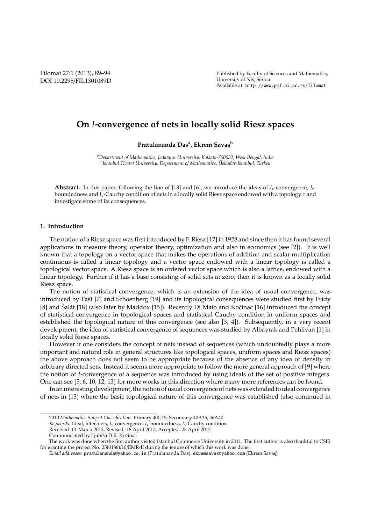Filomat 27:1 (2013), 89–94 DOI 10.2298/FIL1301089D Published by Faculty of Sciences and Mathematics, University of Niš, Serbia Available at: http://www.pmf.ni.ac.rs/filomat

# **On** *I***-convergence of nets in locally solid Riesz spaces**

**Pratulananda Das<sup>a</sup> , Ekrem Savas¸<sup>b</sup>**

*<sup>a</sup>Department of Mathematics, Jadavpur University, Kolkata-700032, West Bengal, India b* Istanbul Ticaret University, Department of Mathematics, Üsküdar-Istanbul, Turkey

**Abstract.** In this paper, following the line of [13] and [6], we introduce the ideas of  $I<sub>τ</sub>$ -convergence,  $I<sub>τ</sub>$ boundedness and *I*τ-Cauchy condition of nets in a locally solid Riesz space endowed with a topology τ and investigate some of its consequences.

#### **1. Introduction**

The notion of a Riesz space was first introduced by F. Riesz [17] in 1928 and since then it has found several applications in measure theory, operator theory, optimization and also in economics (see [2]). It is well known that a topology on a vector space that makes the operations of addition and scalar multiplication continuous is called a linear topology and a vector space endowed with a linear topology is called a topological vector space. A Riesz space is an ordered vector space which is also a lattice, endowed with a linear topology. Further if it has a base consisting of solid sets at zero, then it is known as a locally solid Riesz space.

The notion of statistical convergence, which is an extension of the idea of usual convergence, was introduced by Fast [7] and Schoenberg [19] and its topological consequences were studied first by Fridy [8] and Salát [18] (also later by Maddox [15]). Recently Di Maio and Kočinac [16] introduced the concept of statistical convergence in topological spaces and statistical Cauchy condition in uniform spaces and established the topological nature of this convergence (see also [3, 4]). Subsequently, in a very recent development, the idea of statistical convergence of sequences was studied by Albayrak and Pehlivan [1] in locally solid Riesz spaces.

However if one considers the concept of nets instead of sequences (which undoubtedly plays a more important and natural role in general structures like topological spaces, uniform spaces and Riesz spaces) the above approach does not seem to be appropriate because of the absence of any idea of density in arbitrary directed sets. Instead it seems more appropriate to follow the more general approach of [9] where the notion of *I*-convergence of a sequence was introduced by using ideals of the set of positive integers. One can see [5, 6, 10, 12, 13] for more works in this direction where many more references can be found.

In an interesting development, the notion of usual convergence of nets was extended to ideal convergence of nets in [13] where the basic topological nature of this convergence was established (also continued in

<sup>2010</sup> *Mathematics Subject Classification*. Primary 40G15; Secondary 40A35, 46A40

*Keywords*. Ideal, filter, nets, *I*<sub>τ</sub>-convergence, *I*<sub>τ</sub>-boundedness, *I*<sub>τ</sub>-Cauchy condition

Received: 01 March 2012; Revised: 18 April 2012; Accepted: 23 April 2012

Communicated by Ljubiša D.R. Kočinac

The work was done when the first author visited Istanbul Commerce University in 2011. The first author is also thankful to CSIR for granting the project No. 25(0186)/10/EMR-II during the tenure of which this work was done.

*Email addresses:* pratulananda@yahoo.co.in (Pratulananda Das), ekremsavas@yahoo.com (Ekrem Savas¸)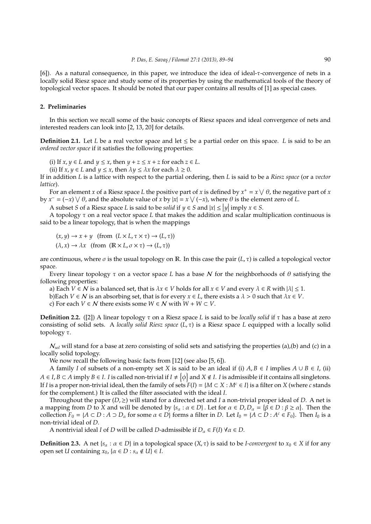[6]). As a natural consequence, in this paper, we introduce the idea of ideal-τ-convergence of nets in a locally solid Riesz space and study some of its properties by using the mathematical tools of the theory of topological vector spaces. It should be noted that our paper contains all results of [1] as special cases.

## **2. Preliminaries**

In this section we recall some of the basic concepts of Riesz spaces and ideal convergence of nets and interested readers can look into [2, 13, 20] for details.

**Definition 2.1.** Let *L* be a real vector space and let  $\leq$  be a partial order on this space. *L* is said to be an *ordered vector space* if it satisfies the following properties:

(i) If  $x, y \in L$  and  $y \le x$ , then  $y + z \le x + z$  for each  $z \in L$ .

(ii) If  $x, y \in L$  and  $y \le x$ , then  $\lambda y \le \lambda x$  for each  $\lambda \ge 0$ .

If in addition *L* is a lattice with respect to the partial ordering, then *L* is said to be a *Riesz space* (or a *vector lattice*).

For an element *x* of a Riesz space *L* the positive part of *x* is defined by  $x^+ = x \vee \theta$ , the negative part of *x* by  $x^- = (-x) \vee \theta$ , and the absolute value of *x* by  $|x| = x \vee (-x)$ , where  $\theta$  is the element zero of *L*.

A subset *S* of a Riesz space *L* is said to be *solid* if  $y \in S$  and  $|x| \le |y|$  imply  $x \in S$ .

A topology τ on a real vector space *L* that makes the addition and scalar multiplication continuous is said to be a linear topology, that is when the mappings

$$
(x, y) \to x + y \quad \text{(from } (L \times L, \tau \times \tau) \to (L, \tau))
$$

$$
(\lambda, x) \to \lambda x \quad \text{(from } (\mathbb{R} \times L, \sigma \times \tau) \to (L, \tau))
$$

are continuous, where  $\sigma$  is the usual topology on R. In this case the pair (*L*,  $\tau$ ) is called a topological vector space.

Every linear topology τ on a vector space *L* has a base N for the neighborhoods of θ satisfying the following properties:

a) Each  $V \in \mathcal{N}$  is a balanced set, that is  $\lambda x \in V$  holds for all  $x \in V$  and every  $\lambda \in R$  with  $|\lambda| \leq 1$ .

b)Each  $V \in \mathcal{N}$  is an absorbing set, that is for every  $x \in L$ , there exists a  $\lambda > 0$  such that  $\lambda x \in V$ .

c) For each *V* ∈ *N* there exists some  $W \in N$  with  $W + W \subset V$ .

**Definition 2.2.** ([2]) A linear topology τ on a Riesz space *L* is said to be *locally solid* if τ has a base at zero consisting of solid sets. A *locally solid Riesz space* (*L*, τ) is a Riesz space *L* equipped with a locally solid topology τ.

N*sol* will stand for a base at zero consisting of solid sets and satisfying the properties (a),(b) and (c) in a locally solid topology.

We now recall the following basic facts from [12] (see also [5, 6]).

A family *I* of subsets of a non-empty set *X* is said to be an ideal if (i) *A*, *B* ∈ *I* implies  $A ∪ B ∈ I$ , (ii) *A* ∈ *I*, *B* ⊂ *A* imply *B* ∈ *I*. *I* is called non-trivial if *I* ≠ { $\phi$ } and *X* ∉ *I*. *I* is admissible if it contains all singletons. If *I* is a proper non-trivial ideal, then the family of sets  $F(I) = \{M \subset X : M^c \in I\}$  is a filter on *X* (where *c* stands for the complement.) It is called the filter associated with the ideal *I*.

Throughout the paper (*D*,≥) will stand for a directed set and *I* a non-trivial proper ideal of *D*. A net is a mapping from *D* to *X* and will be denoted by  $\{s_\alpha : \alpha \in D\}$ . Let for  $\alpha \in D$ ,  $D_\alpha = \{\beta \in D : \beta \ge \alpha\}$ . Then the collection  $F_0 = \{A \subset D : A \supset D_\alpha \}$  for some  $\alpha \in D\}$  forms a filter in *D*. Let  $I_0 = \{A \subset D : A^c \in F_0\}$ . Then  $I_0$  is a non-trivial ideal of *D*.

A nontrivial ideal *I* of *D* will be called *D*-admissible if  $D_{\alpha} \in F(I)$   $\forall \alpha \in D$ .

**Definition 2.3.** A net { $s_\alpha : \alpha \in D$ } in a topological space  $(X, \tau)$  is said to be *I-convergent* to  $x_0 \in X$  if for any open set *U* containing  $x_0$ ,  $\{\alpha \in D : s_\alpha \notin U\} \in I$ .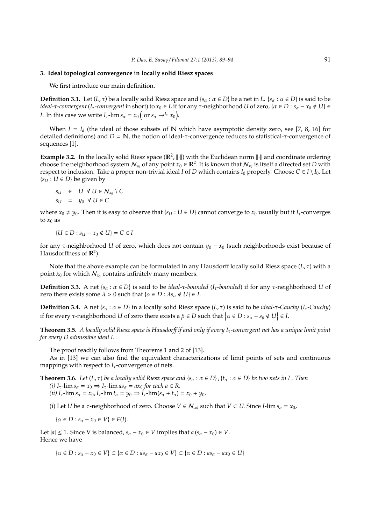### **3. Ideal topological convergence in locally solid Riesz spaces**

We first introduce our main definition.

**Definition 3.1.** Let  $(L, \tau)$  be a locally solid Riesz space and  $\{s_\alpha : \alpha \in D\}$  be a net in  $L$ .  $\{s_\alpha : \alpha \in D\}$  is said to be *ideal-τ*-convergent (*I*<sub>τ</sub>-convergent in short) to  $x_0$  ∈ *L* if for any τ-neighborhood *U* of zero, {α ∈ *D* :  $s_\alpha - x_0 \notin U$ } ∈ *I*. In this case we write  $I_{\tau}$ -lim  $s_{\alpha} = x_0$  ( or  $s_{\alpha} \rightarrow^{I_{\tau}} x_0$ ).

When  $I = I_d$  (the ideal of those subsets of N which have asymptotic density zero, see [7, 8, 16] for detailed definitions) and *D* = N, the notion of ideal-τ-convergence reduces to statistical-τ-convergence of sequences [1].

Example 3.2. In the locally solid Riesz space ( $\mathbb{R}^2$ ,  $\|\cdot\|$ ) with the Euclidean norm  $\|\cdot\|$  and coordinate ordering choose the neighborhood system  $\mathcal{N}_{x_0}$  of any point  $x_0 \in \mathbb{R}^2$ . It is known that  $\mathcal{N}_{x_0}$  is itself a directed set *D* with respect to inclusion. Take a proper non-trivial ideal *I* of *D* which contains  $I_0$  properly. Choose  $C \in I \setminus I_0$ . Let  ${s<sub>U</sub> : U \in D}$  be given by

$$
s_U \in U \ \forall \ U \in \mathcal{N}_{x_0} \setminus C
$$
  

$$
s_U = y_0 \ \forall \ U \in C
$$

where  $x_0 \neq y_0$ . Then it is easy to observe that { $s_U : U \in D$ } cannot converge to  $x_0$  usually but it  $I_\tau$ -converges to  $x_0$  as

$$
\{U\in D: s_U-x_0\notin U\}=C\in I
$$

for any τ-neighborhood *U* of zero, which does not contain  $y_0 - x_0$  (such neighborhoods exist because of Hausdorffness of  $\mathbb{R}^2$ ).

Note that the above example can be formulated in any Hausdorff locally solid Riesz space (*L*, τ) with a point  $x_0$  for which  $\mathcal{N}_{x_0}$  contains infinitely many members.

**Definition 3.3.** A net {*s*<sub>α</sub> : *α* ∈ *D*} is said to be *ideal-τ-bounded* (*I*<sub>τ</sub>-bounded) if for any τ-neighborhood *U* of zero there exists some  $\lambda > 0$  such that  $\{\alpha \in D : \lambda s_{\alpha} \notin U\} \in I$ .

**Definition 3.4.** A net { $s_\alpha : \alpha \in D$ } in a locally solid Riesz space (*L*,  $\tau$ ) is said to be *ideal-*τ*-Cauchy* (*I*<sub>τ</sub>-*Cauchy*) if for every  $\tau$ -neighborhood *U* of zero there exists a  $\beta \in D$  such that  $\{\alpha \in D : s_{\alpha} - s_{\beta} \notin U\} \in I$ .

**Theorem 3.5.** *A locally solid Riesz space is Hausdor*ff *if and only if every I*τ*-convergent net has a unique limit point for every D admissible ideal I.*

The proof readily follows from Theorems 1 and 2 of [13].

As in [13] we can also find the equivalent characterizations of limit points of sets and continuous mappings with respect to  $I<sub>\tau</sub>$ -convergence of nets.

**Theorem 3.6.** *Let*  $(L, \tau)$  *be a locally solid Riesz space and*  $\{s_\alpha : \alpha \in D\}$ ,  $\{t_\alpha : \alpha \in D\}$  *be two nets in L. Then (i)*  $I_{\tau}$ -lim  $s_{\alpha} = x_0 \Rightarrow I_{\tau}$ -lim  $as_{\alpha} = ax_0$  for each  $a \in R$ .  $(iii) I_{\tau}$ -lim  $s_{\alpha} = x_0$ ,  $I_{\tau}$ -lim  $t_{\alpha} = y_0 \Rightarrow I_{\tau}$ -lim $(s_{\alpha} + t_{\alpha}) = x_0 + y_0$ .

(i) Let *U* be a  $\tau$ -neighborhood of zero. Choose  $V \in \mathcal{N}_{sol}$  such that  $V \subset U$ . Since *I*-lim  $s_{\alpha} = x_{0}$ ,

 $\{\alpha \in D : s_{\alpha} - x_0 \in V\} \in F(I).$ 

Let  $|a| \leq 1$ . Since V is balanced,  $s_\alpha - x_0 \in V$  implies that  $a(s_\alpha - x_0) \in V$ . Hence we have

{α ∈ *D* : *s*<sup>α</sup> − *x*<sup>0</sup> ∈ *V*} ⊂ {α ∈ *D* : *as*<sup>α</sup> − *ax*<sup>0</sup> ∈ *V*} ⊂ {α ∈ *D* : *as*<sup>α</sup> − *ax*<sup>0</sup> ∈ *U*}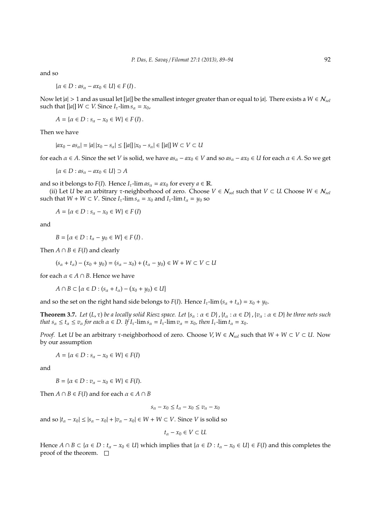and so

$$
\left\{\alpha\in D:as_{\alpha}-ax_{0}\in U\right\}\in F\left(I\right).
$$

Now let  $|a| > 1$  and as usual let  $[|a|]$  be the smallest integer greater than or equal to  $|a|$ . There exists a  $W \in \mathcal{N}_{sol}$ such that  $[|a|]$   $W \subset V$ . Since  $I_{\tau}$ -lim  $s_{\alpha} = x_0$ ,

*A* = { $\alpha$  ∈ *D* :  $s_{\alpha}$  −  $x_0$  ∈ *W*} ∈ *F* (*I*).

Then we have

 $|ax_0 - as_\alpha| = |a||x_0 - s_\alpha|$  ≤  $[|a|] |x_0 - s_\alpha|$  ∈  $[|a|] W ⊂ V ⊂ U$ 

for each  $\alpha \in A$ . Since the set *V* is solid, we have  $as_\alpha - ax_0 \in V$  and so  $as_\alpha - ax_0 \in U$  for each  $\alpha \in A$ . So we get

 $\{\alpha \in D : as_{\alpha} - ax_0 \in U\} \supset A$ 

and so it belongs to *F*(*I*). Hence  $I_{\tau}$ -lim  $as_{\alpha} = ax_0$  for every  $a \in \mathbb{R}$ .

(ii) Let *U* be an arbitrary  $\tau$ -neighborhood of zero. Choose  $V \in \mathcal{N}_{sol}$  such that  $V \subset U$ . Choose  $W \in \mathcal{N}_{sol}$ such that  $W + W \subset V$ . Since  $I_{\tau}$ -lim  $s_{\alpha} = x_0$  and  $I_{\tau}$ -lim  $t_{\alpha} = y_0$  so

 $A = {α ∈ D : s<sub>α</sub> − x<sub>0</sub> ∈ W} ∈ F(I)$ 

and

$$
B = \{ \alpha \in D : t_{\alpha} - y_0 \in W \} \in F(I).
$$

Then  $A \cap B \in F(I)$  and clearly

$$
(s_{\alpha} + t_{\alpha}) - (x_0 + y_0) = (s_{\alpha} - x_0) + (t_{\alpha} - y_0) \in W + W \subset V \subset U
$$

for each  $\alpha \in A \cap B$ . Hence we have

*A* ∩ *B* ⊂ { $\alpha \in D$  :  $(s_{\alpha} + t_{\alpha}) - (x_0 + y_0) \in U$ }

and so the set on the right hand side belongs to *F*(*I*). Hence  $I_{\tau}$ -lim  $(s_{\alpha} + t_{\alpha}) = x_0 + y_0$ .

**Theorem 3.7.** Let  $(L, \tau)$  be a locally solid Riesz space. Let  $\{s_\alpha : \alpha \in D\}$ ,  $\{t_\alpha : \alpha \in D\}$ ,  $\{v_\alpha : \alpha \in D\}$  be three nets such *that*  $s_\alpha \le t_\alpha \le v_\alpha$  *for each*  $\alpha \in D$ . If  $I_\tau$ -lim  $s_\alpha = I_\tau$ -lim  $v_\alpha = x_0$ , then  $I_\tau$ -lim  $t_\alpha = x_0$ .

*Proof.* Let *U* be an arbitrary  $\tau$ -neighborhood of zero. Choose  $V, W \in N_{sol}$  such that  $W + W \subset V \subset U$ . Now by our assumption

$$
A = \{ \alpha \in D : s_{\alpha} - x_0 \in W \} \in F(I)
$$

and

*B* = { $\alpha$  ∈ *D* :  $v_{\alpha}$  −  $x_0$  ∈ *W*} ∈ *F*(*I*).

Then  $A \cap B \in F(I)$  and for each  $\alpha \in A \cap B$ 

 $s_{\alpha} - x_0 \leq t_{\alpha} - x_0 \leq v_{\alpha} - x_0$ 

and so  $|t_\alpha - x_0| \le |s_\alpha - x_0| + |v_\alpha - x_0| \in W + W \subset V$ . Since *V* is solid so

$$
t_{\alpha}-x_0\in V\subset U.
$$

Hence  $A \cap B \subset \{ \alpha \in D : t_\alpha - x_0 \in U \}$  which implies that  $\{ \alpha \in D : t_\alpha - x_0 \in U \} \in F(I)$  and this completes the proof of the theorem.  $\square$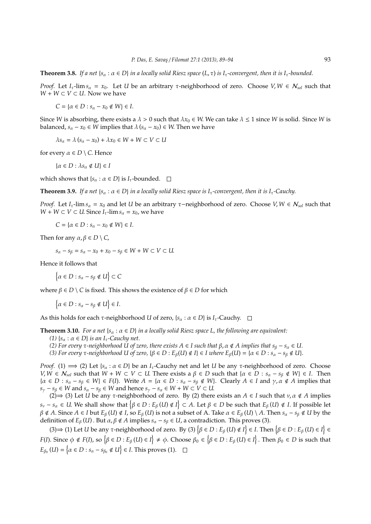**Theorem 3.8.** *If a net*  $\{s_\alpha : \alpha \in D\}$  *in a locally solid Riesz space*  $(L, \tau)$  *is*  $I_\tau$ -convergent, then it is  $I_\tau$ -bounded.

*Proof.* Let *I*<sub>τ</sub>-lim  $s_\alpha = x_0$ . Let *U* be an arbitrary *τ*-neighborhood of zero. Choose  $V, W \in \mathcal{N}_{sol}$  such that *W* + *W* ⊂ *V* ⊂ *U*. Now we have

 $C = {α ∈ D : s<sub>α</sub> − x<sub>0</sub> ∉ W} ∈ I.$ 

Since *W* is absorbing, there exists a  $\lambda > 0$  such that  $\lambda x_0 \in W$ . We can take  $\lambda \le 1$  since *W* is solid. Since *W* is balanced,  $s_\alpha - x_0 \in W$  implies that  $\lambda (s_\alpha - x_0) \in W$ . Then we have

 $\lambda s_{\alpha} = \lambda (s_{\alpha} - x_0) + \lambda x_0 \in W + W \subset V \subset U$ 

for every  $\alpha \in D \setminus C$ . Hence

 $\{\alpha \in D : \lambda s_{\alpha} \notin U\} \in I$ 

which shows that  $\{s_\alpha : \alpha \in D\}$  is  $I_\tau$ -bounded.  $\square$ 

**Theorem 3.9.** *If a net*  $\{s_\alpha : \alpha \in D\}$  *in a locally solid Riesz space is I<sub>τ</sub>-convergent, then it is I<sub>τ</sub>-Cauchy.* 

*Proof.* Let *I*<sub>τ</sub>-lim  $s_\alpha = x_0$  and let *U* be an arbitrary  $\tau$ –neighborhood of zero. Choose *V*,  $W \in N_{sol}$  such that *W* + *W* ⊂ *V* ⊂ *U*. Since *I*<sub>τ</sub>-lim  $s_\alpha = x_0$ , we have

 $C = \{ \alpha \in D : s_{\alpha} - x_0 \notin W \} \in I$ .

Then for any  $\alpha, \beta \in D \setminus C$ ,

 $s_{\alpha}$  − *s*<sub>β</sub> = *s*<sub>α</sub> − *x*<sub>0</sub> + *x*<sub>0</sub> − *s*<sub>β</sub> ∈ *W* + *W* ⊂ *V* ⊂ *U*.

Hence it follows that

 $\{\alpha \in D : s_{\alpha} - s_{\beta} \notin U\} \subset C$ 

where  $\beta \in D \setminus C$  is fixed. This shows the existence of  $\beta \in D$  for which

 $\{\alpha \in D : s_{\alpha} - s_{\beta} \notin U\} \in I.$ 

As this holds for each  $\tau$ -neighborhood *U* of zero, { $s_\alpha : \alpha \in D$ } is  $I_\tau$ -Cauchy.  $\Box$ 

**Theorem 3.10.** *For a net*  $\{s_\alpha : \alpha \in D\}$  *in a locally solid Riesz space L, the following are equivalent:* 

- *(1)*  $\{s_\alpha : \alpha \in D\}$  *is an I<sub>T</sub>*-Cauchy net.
- *(2) For every τ*-neighborhood U of zero, there exists  $A ∈ I$  such that  $β, α ∉ A$  implies that  $s<sub>β</sub> − s<sub>α</sub> ∈ U$ .
- *(3) For every τ*-neighborhood U of zero, {β ∈ *D* :  $E_β(U) \notin I$ } ∈ *I where*  $E_β(U) = {α ∈ D : s_α s_β ∉ U}$ *.*

*Proof.* (1)  $\implies$  (2) Let {*s<sub>a</sub>* :  $\alpha \in D$ } be an *I*<sub>τ</sub>-Cauchy net and let *U* be any  $\tau$ -neighborhood of zero. Choose *V*, *W* ∈  $N_{sol}$  such that  $W + W \subset V \subset U$ . There exists a  $\beta \in D$  such that  $\{\alpha \in D : s_\alpha - s_\beta \notin W\} \in I$ . Then  $\{\alpha \in D : s_\alpha - s_\beta \in W\} \in F(I)$ . Write  $A = \{\alpha \in D : s_\alpha - s_\beta \notin W\}$ . Clearly  $A \in I$  and  $\gamma, \alpha \notin A$  implies that  $s_y - s_\beta$  ∈ *W* and  $s_\alpha - s_\beta$  ∈ *W* and hence  $s_y - s_\alpha$  ∈ *W* + *W* ⊂ *V* ⊂ *U*.

(2)  $\Rightarrow$  (3) Let *U* be any *τ*-neighborhood of zero. By (2) there exists an *A*  $\in$  *I* such that  $v, \alpha \notin A$  implies  $s_v - s_\alpha \in U$ . We shall show that  $\{\beta \in D : E_\beta(U) \notin I\} \subset A$ . Let  $\beta \in D$  be such that  $E_\beta(U) \notin I$ . If possible let  $\beta \notin A$ . Since  $A \in I$  but  $E_\beta(U) \notin I$ , so  $E_\beta(U)$  is not a subset of A. Take  $\alpha \in E_\beta(U) \setminus A$ . Then  $s_\alpha - s_\beta \notin U$  by the definition of *E*<sub>β</sub> (*U*). But  $\alpha$ , β ∉ *A* implies  $s_{\alpha}$  −  $s_{\beta}$  ∈ *U*, a contradiction. This proves (3).

(3)  $\Rightarrow$  (1) Let *U* be any  $\tau$ -neighborhood of zero. By (3) { $\beta \in D$  :  $E_{\beta}(U) \notin I$ } ∈ *I*. Then { $\beta \in D$  :  $E_{\beta}(U) \in I$ } ∈ *F*(*I*). Since  $\phi \notin F(I)$ , so  $\{\beta \in D : E_{\beta}(U) \in I\} \neq \phi$ . Choose  $\beta_0 \in \{\beta \in D : E_{\beta}(U) \in I\}$ . Then  $\beta_0 \in D$  is such that  $E_{\beta_0}(U) = \left\{\alpha \in D : s_\alpha - s_{\beta_0} \notin U\right\} \in I$ . This proves (1).